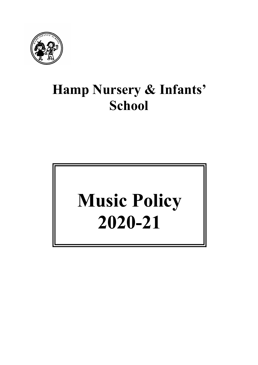

# Hamp Nursery & Infants' School

# **Music Policy** 2020-21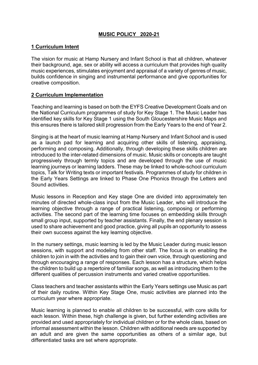# MUSIC POLICY 2020-21

# 1 Curriculum Intent

The vision for music at Hamp Nursery and Infant School is that all children, whatever their background, age, sex or ability will access a curriculum that provides high quality music experiences, stimulates enjoyment and appraisal of a variety of genres of music, builds confidence in singing and instrumental performance and give opportunities for creative composition.

# 2 Curriculum Implementation

Teaching and learning is based on both the EYFS Creative Development Goals and on the National Curriculum programmes of study for Key Stage 1. The Music Leader has identified key skills for Key Stage 1 using the South Gloucestershire Music Maps and this ensures there is tailored skill progression from the Early Years to the end of Year 2.

Singing is at the heart of music learning at Hamp Nursery and Infant School and is used as a launch pad for learning and acquiring other skills of listening, appraising, performing and composing. Additionally, through developing these skills children are introduced to the inter-related dimensions of music. Music skills or concepts are taught progressively through termly topics and are developed through the use of music learning journeys or learning ladders. These may be linked to whole-school curriculum topics, Talk for Writing texts or important festivals. Programmes of study for children in the Early Years Settings are linked to Phase One Phonics through the Letters and Sound activities.

Music lessons in Reception and Key stage One are divided into approximately ten minutes of directed whole-class input from the Music Leader, who will introduce the learning objective through a range of practical listening, composing or performing activities. The second part of the learning time focuses on embedding skills through small group input, supported by teacher assistants. Finally, the end plenary session is used to share achievement and good practice, giving all pupils an opportunity to assess their own success against the key learning objective.

In the nursery settings, music learning is led by the Music Leader during music lesson sessions, with support and modeling from other staff. The focus is on enabling the children to join in with the activities and to gain their own voice, through questioning and through encouraging a range of responses. Each lesson has a structure, which helps the children to build up a repertoire of familiar songs, as well as introducing them to the different qualities of percussion instruments and varied creative opportunities.

Class teachers and teacher assistants within the Early Years settings use Music as part of their daily routine. Within Key Stage One, music activities are planned into the curriculum year where appropriate.

Music learning is planned to enable all children to be successful, with core skills for each lesson. Within these, high challenge is given, but further extending activities are provided and used appropriately for individual children or for the whole class, based on informal assessment within the lesson. Children with additional needs are supported by an adult and are given the same opportunities as others of a similar age, but differentiated tasks are set where appropriate.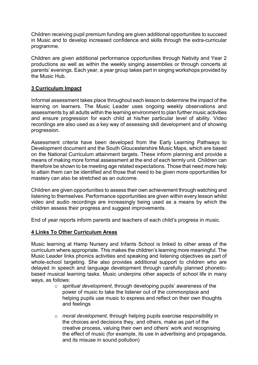Children receiving pupil premium funding are given additional opportunities to succeed in Music and to develop increased confidence and skills through the extra-curricular programme.

Children are given additional performance opportunities through Nativity and Year 2 productions as well as within the weekly singing assemblies or through concerts at parents' evenings. Each year, a year group takes part in singing workshops provided by the Music Hub.

### 3 Curriculum Impact

Informal assessment takes place throughout each lesson to determine the impact of the learning on learners. The Music Leader uses ongoing weekly observations and assessments by all adults within the learning environment to plan further music activities and ensure progression for each child at his/her particular level of ability. Video recordings are also used as a key way of assessing skill development and of showing progression.

Assessment criteria have been developed from the Early Learning Pathways to Development document and the South Gloucestershire Music Maps, which are based on the National Curriculum attainment targets. These inform planning and provide a means of making more formal assessment at the end of each termly unit. Children can therefore be shown to be meeting age related expectations. Those that need more help to attain them can be identified and those that need to be given more opportunities for mastery can also be stretched as an outcome.

Children are given opportunities to assess their own achievement through watching and listening to themselves. Performance opportunities are given within every lesson whilst video and audio recordings are increasingly being used as a means by which the children assess their progress and suggest improvements.

End of year reports inform parents and teachers of each child's progress in music.

#### 4 Links To Other Curriculum Areas

Music learning at Hamp Nursery and Infants School is linked to other areas of the curriculum where appropriate. This makes the children's learning more meaningful. The Music Leader links phonics activities and speaking and listening objectives as part of whole-school targeting. She also provides additional support to children who are delayed in speech and language development through carefully planned phoneticbased musical learning tasks. Music underpins other aspects of school life in many ways, as follows:

- $\circ$  spiritual development, through developing pupils' awareness of the power of music to take the listener out of the commonplace and helping pupils use music to express and reflect on their own thoughts and feelings
- $\circ$  moral development, through helping pupils exercise responsibility in the choices and decisions they, and others, make as part of the creative process, valuing their own and others' work and recognising the effect of music (for example, its use in advertising and propaganda, and its misuse in sound pollution)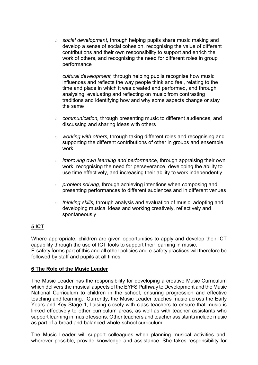$\circ$  social development, through helping pupils share music making and develop a sense of social cohesion, recognising the value of different contributions and their own responsibility to support and enrich the work of others, and recognising the need for different roles in group performance

cultural development, through helping pupils recognise how music influences and reflects the way people think and feel, relating to the time and place in which it was created and performed, and through analysing, evaluating and reflecting on music from contrasting traditions and identifying how and why some aspects change or stay the same

- $\circ$  communication, through presenting music to different audiences, and discussing and sharing ideas with others
- $\circ$  working with others, through taking different roles and recognising and supporting the different contributions of other in groups and ensemble work
- $\circ$  improving own learning and performance, through appraising their own work, recognising the need for perseverance, developing the ability to use time effectively, and increasing their ability to work independently
- $\circ$  problem solving, through achieving intentions when composing and presenting performances to different audiences and in different venues
- $\circ$  thinking skills, through analysis and evaluation of music, adopting and developing musical ideas and working creatively, reflectively and spontaneously

# 5 ICT

Where appropriate, children are given opportunities to apply and develop their ICT capability through the use of ICT tools to support their learning in music. E-safety forms part of this and all other policies and e-safety practices will therefore be followed by staff and pupils at all times.

# 6 The Role of the Music Leader

The Music Leader has the responsibility for developing a creative Music Curriculum which delivers the musical aspects of the EYFS Pathway to Development and the Music National Curriculum to children in the school, ensuring progression and effective teaching and learning. Currently, the Music Leader teaches music across the Early Years and Key Stage 1, liaising closely with class teachers to ensure that music is linked effectively to other curriculum areas, as well as with teacher assistants who support learning in music lessons. Other teachers and teacher assistants include music as part of a broad and balanced whole-school curriculum.

The Music Leader will support colleagues when planning musical activities and, wherever possible, provide knowledge and assistance. She takes responsibility for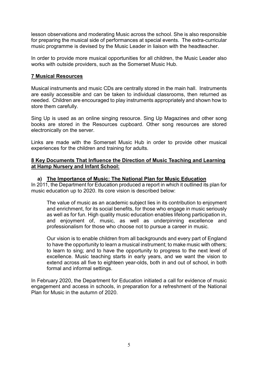lesson observations and moderating Music across the school. She is also responsible for preparing the musical side of performances at special events. The extra-curricular music programme is devised by the Music Leader in liaison with the headteacher.

In order to provide more musical opportunities for all children, the Music Leader also works with outside providers, such as the Somerset Music Hub.

#### 7 Musical Resources

Musical instruments and music CDs are centrally stored in the main hall. Instruments are easily accessible and can be taken to individual classrooms, then returned as needed. Children are encouraged to play instruments appropriately and shown how to store them carefully.

Sing Up is used as an online singing resource. Sing Up Magazines and other song books are stored in the Resources cupboard. Other song resources are stored electronically on the server.

Links are made with the Somerset Music Hub in order to provide other musical experiences for the children and training for adults.

#### 8 Key Documents That Influence the Direction of Music Teaching and Learning at Hamp Nursery and Infant School:

#### a) The Importance of Music: The National Plan for Music Education

In 2011, the Department for Education produced a report in which it outlined its plan for music education up to 2020. Its core vision is described below:

The value of music as an academic subject lies in its contribution to enjoyment and enrichment, for its social benefits, for those who engage in music seriously as well as for fun. High quality music education enables lifelong participation in, and enjoyment of, music, as well as underpinning excellence and professionalism for those who choose not to pursue a career in music.

Our vision is to enable children from all backgrounds and every part of England to have the opportunity to learn a musical instrument; to make music with others; to learn to sing; and to have the opportunity to progress to the next level of excellence. Music teaching starts in early years, and we want the vision to extend across all five to eighteen year-olds, both in and out of school, in both formal and informal settings.

In February 2020, the Department for Education initiated a call for evidence of music engagement and access in schools, in preparation for a refreshment of the National Plan for Music in the autumn of 2020.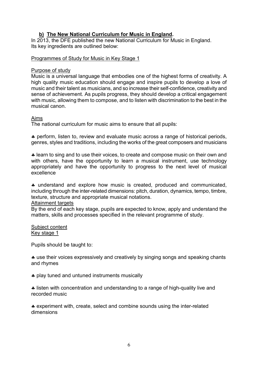# b) The New National Curriculum for Music in England.

In 2013, the DFE published the new National Curriculum for Music in England. Its key ingredients are outlined below:

#### Programmes of Study for Music in Key Stage 1

#### Purpose of study

Music is a universal language that embodies one of the highest forms of creativity. A high quality music education should engage and inspire pupils to develop a love of music and their talent as musicians, and so increase their self-confidence, creativity and sense of achievement. As pupils progress, they should develop a critical engagement with music, allowing them to compose, and to listen with discrimination to the best in the musical canon.

#### Aims

The national curriculum for music aims to ensure that all pupils:

 perform, listen to, review and evaluate music across a range of historical periods, genres, styles and traditions, including the works of the great composers and musicians

• learn to sing and to use their voices, to create and compose music on their own and with others, have the opportunity to learn a musical instrument, use technology appropriately and have the opportunity to progress to the next level of musical excellence

 understand and explore how music is created, produced and communicated, including through the inter-related dimensions: pitch, duration, dynamics, tempo, timbre, texture, structure and appropriate musical notations.

#### Attainment targets

By the end of each key stage, pupils are expected to know, apply and understand the matters, skills and processes specified in the relevant programme of study.

Subject content Key stage 1

Pupils should be taught to:

 use their voices expressively and creatively by singing songs and speaking chants and rhymes

\* play tuned and untuned instruments musically

• listen with concentration and understanding to a range of high-quality live and recorded music

\* experiment with, create, select and combine sounds using the inter-related dimensions